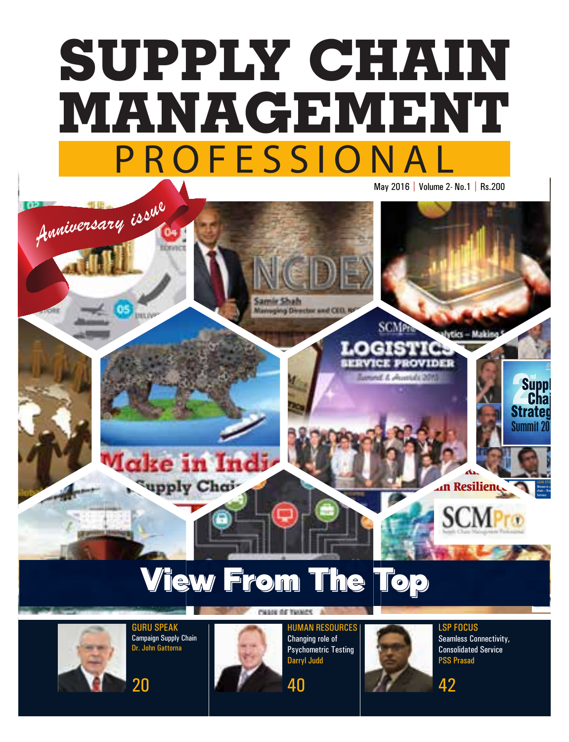## PROFESSIONAL PROFESSIONAL **MANAGEMENT MANAGEMENT SUPPLY CHAIN SUPPLY CHAIN the Supply Chain** May 2016 | Volume 2- No.1 | Rs.200

## View From The Top

**Planning did Transaction** 

40



Defense Supply Chains

HUMAN RESOURCES Performance Management – Keeping it flexible - Niharika Davar 40

*<sup>A</sup>nniversar<sup>y</sup> <sup>i</sup>ssu<sup>e</sup>*

OPINION Building an Organization with a Soul Sandeep Padoshi 44

ake in Indi

upply Chai-

34

GURU SPEAK Campaign Supply Chain Dr. John Gattorna





HUMAN RESOURCES Changing role of Psychometric Testing Darryl Judd



**SCM**<sub>D</sub>

and A showmake the

 $LSP$  Focus Seamless Connectivity,  $\blacksquare$  . The scale  $\blacksquare$  and  $\blacksquare$  PSS Prasad Consolidated Service

STRATEGY

Trends on Supply Chains <u>ال</u>

**Supply Chain** 

viks – Mal

**MANAGEMENT SURFERIES** 

PROFESSIONAL PROFESSIONAL

LEAD STO Women in s chain – Bre fortress

SCMP ROWSELL AND RELEASED AND RELEASED AT LCCCC.

LSP FOCUS

Summit 20

10th Jan 2016 | Volume 1- No.9 | Rs.200

PROFESSIONAL **MANAGEMENT** 

**SUPPLY** 



**Expanding Chain Resilience** 

**Moving Beyond Risk -**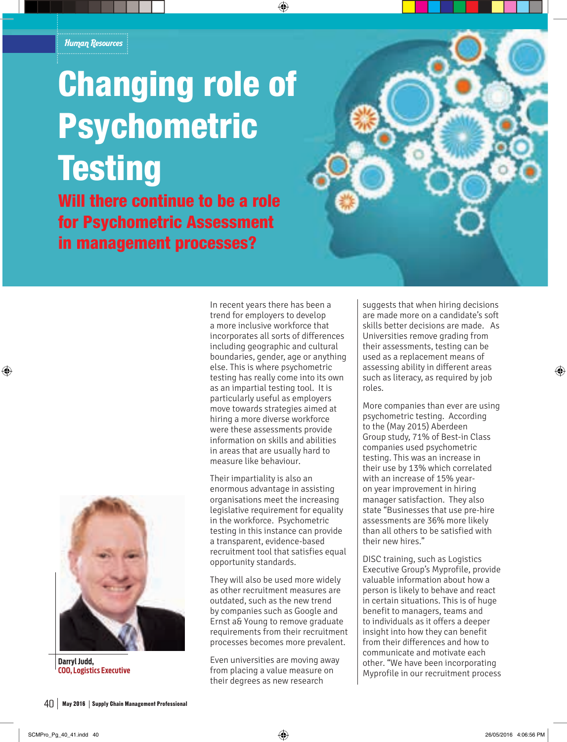## Changing role of Psychometric **Testing**

Will there continue to be a role for Psychometric Assessment in management processes?



**Darryl Judd, COO, Logistics Executive**

In recent years there has been a trend for employers to develop a more inclusive workforce that incorporates all sorts of differences including geographic and cultural boundaries, gender, age or anything else. This is where psychometric testing has really come into its own as an impartial testing tool. It is particularly useful as employers move towards strategies aimed at hiring a more diverse workforce were these assessments provide information on skills and abilities in areas that are usually hard to measure like behaviour.

Their impartiality is also an enormous advantage in assisting organisations meet the increasing legislative requirement for equality in the workforce. Psychometric testing in this instance can provide a transparent, evidence-based recruitment tool that satisfies equal opportunity standards.

They will also be used more widely as other recruitment measures are outdated, such as the new trend by companies such as Google and Ernst a& Young to remove graduate requirements from their recruitment processes becomes more prevalent.

Even universities are moving away from placing a value measure on their degrees as new research

suggests that when hiring decisions are made more on a candidate's soft skills better decisions are made. As Universities remove grading from their assessments, testing can be used as a replacement means of assessing ability in different areas such as literacy, as required by job roles.

More companies than ever are using psychometric testing. According to the (May 2015) Aberdeen Group study, 71% of Best-in Class companies used psychometric testing. This was an increase in their use by 13% which correlated with an increase of 15% yearon year improvement in hiring manager satisfaction. They also state "Businesses that use pre-hire assessments are 36% more likely than all others to be satisfied with their new hires."

DISC training, such as Logistics Executive Group's Myprofile, provide valuable information about how a person is likely to behave and react in certain situations. This is of huge benefit to managers, teams and to individuals as it offers a deeper insight into how they can benefit from their differences and how to communicate and motivate each other. "We have been incorporating Myprofile in our recruitment process